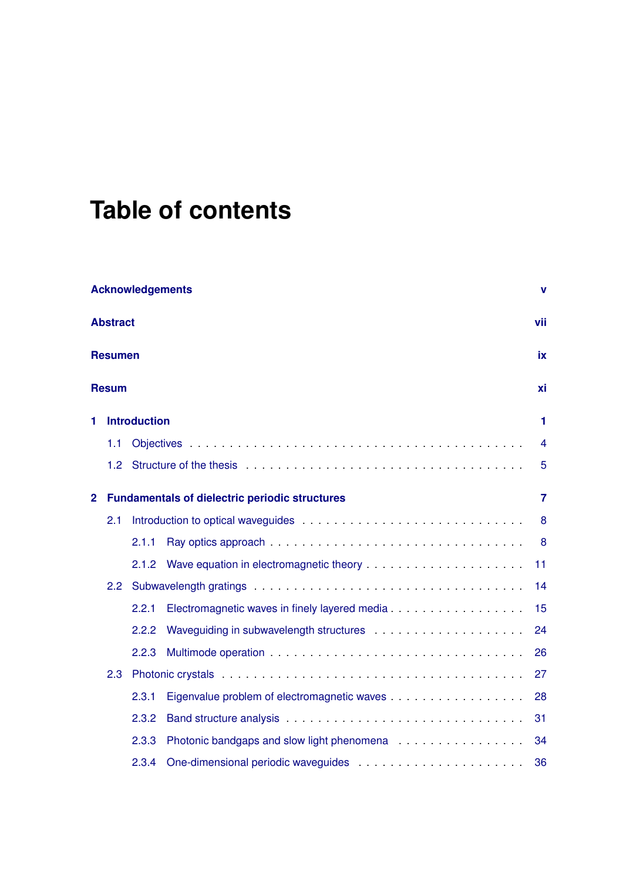## **Table of contents**

| <b>Acknowledgements</b> |                                                       |                     |                                                                                                                 |                |  |  |  |  |  |
|-------------------------|-------------------------------------------------------|---------------------|-----------------------------------------------------------------------------------------------------------------|----------------|--|--|--|--|--|
|                         | <b>Abstract</b><br>vii<br><b>Resumen</b><br><b>ix</b> |                     |                                                                                                                 |                |  |  |  |  |  |
|                         |                                                       |                     |                                                                                                                 |                |  |  |  |  |  |
| <b>Resum</b><br>хi      |                                                       |                     |                                                                                                                 |                |  |  |  |  |  |
| 1.                      |                                                       | <b>Introduction</b> |                                                                                                                 | 1              |  |  |  |  |  |
|                         | 1.1                                                   |                     |                                                                                                                 | $\overline{4}$ |  |  |  |  |  |
|                         | 1.2                                                   |                     | Structure of the thesis enterpreteration of the thesis enterpreteration of the thesis enterpreteration of the t | 5              |  |  |  |  |  |
| 2                       |                                                       |                     | <b>Fundamentals of dielectric periodic structures</b>                                                           | 7              |  |  |  |  |  |
|                         | 2.1                                                   |                     |                                                                                                                 | 8              |  |  |  |  |  |
|                         |                                                       | 2.1.1               |                                                                                                                 | 8              |  |  |  |  |  |
|                         |                                                       | 2.1.2               |                                                                                                                 | 11             |  |  |  |  |  |
|                         | 2.2                                                   |                     |                                                                                                                 | 14             |  |  |  |  |  |
|                         |                                                       | 2.2.1               | Electromagnetic waves in finely layered media                                                                   | 15             |  |  |  |  |  |
|                         |                                                       | 2.2.2               |                                                                                                                 | 24             |  |  |  |  |  |
|                         |                                                       | 2.2.3               |                                                                                                                 | 26             |  |  |  |  |  |
| 2.3                     |                                                       |                     |                                                                                                                 | 27             |  |  |  |  |  |
|                         |                                                       | 2.3.1               |                                                                                                                 | 28             |  |  |  |  |  |
|                         |                                                       | 2.3.2               |                                                                                                                 | 31             |  |  |  |  |  |
|                         |                                                       | 2.3.3               | Photonic bandgaps and slow light phenomena                                                                      | 34             |  |  |  |  |  |
|                         |                                                       | 2.3.4               |                                                                                                                 | 36             |  |  |  |  |  |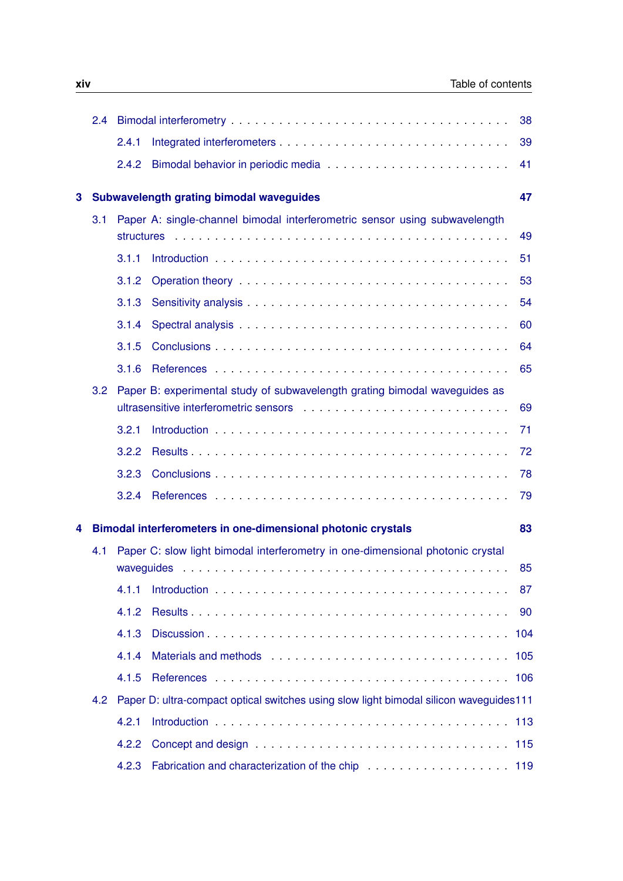|     | 2.4 |                                                                                |                                                                                        | 38  |
|-----|-----|--------------------------------------------------------------------------------|----------------------------------------------------------------------------------------|-----|
|     |     | 2.4.1                                                                          |                                                                                        | 39  |
|     |     | 2.4.2                                                                          |                                                                                        | 41  |
| 3   |     |                                                                                | Subwavelength grating bimodal waveguides                                               | 47  |
|     | 3.1 |                                                                                | Paper A: single-channel bimodal interferometric sensor using subwavelength             |     |
|     |     |                                                                                |                                                                                        | 49  |
|     |     | 3.1.1                                                                          |                                                                                        | 51  |
|     |     | 3.1.2                                                                          |                                                                                        | 53  |
|     |     | 3.1.3                                                                          |                                                                                        | 54  |
|     |     | 3.1.4                                                                          |                                                                                        | 60  |
|     |     | 3.1.5                                                                          |                                                                                        | 64  |
|     |     | 3.1.6                                                                          |                                                                                        | 65  |
|     | 3.2 |                                                                                | Paper B: experimental study of subwavelength grating bimodal waveguides as             |     |
|     |     |                                                                                |                                                                                        | 69  |
|     |     | 3.2.1                                                                          |                                                                                        | 71  |
|     |     | 3.2.2                                                                          |                                                                                        | 72  |
|     |     | 3.2.3                                                                          |                                                                                        | 78  |
|     |     | 3.2.4                                                                          |                                                                                        | 79  |
| 4   |     |                                                                                | Bimodal interferometers in one-dimensional photonic crystals                           | 83  |
|     | 4.1 | Paper C: slow light bimodal interferometry in one-dimensional photonic crystal |                                                                                        |     |
|     |     |                                                                                |                                                                                        | 85  |
|     |     | 4.1.1                                                                          |                                                                                        | 87  |
|     |     | 4.1.2                                                                          |                                                                                        | 90  |
|     |     | 4.1.3                                                                          |                                                                                        | 104 |
|     |     | 4.1.4                                                                          |                                                                                        |     |
|     |     | 4.1.5                                                                          |                                                                                        |     |
| 4.2 |     |                                                                                | Paper D: ultra-compact optical switches using slow light bimodal silicon waveguides111 |     |
|     |     | 4.2.1                                                                          |                                                                                        |     |
|     |     | 4.2.2                                                                          |                                                                                        |     |
|     |     | 4.2.3                                                                          |                                                                                        |     |